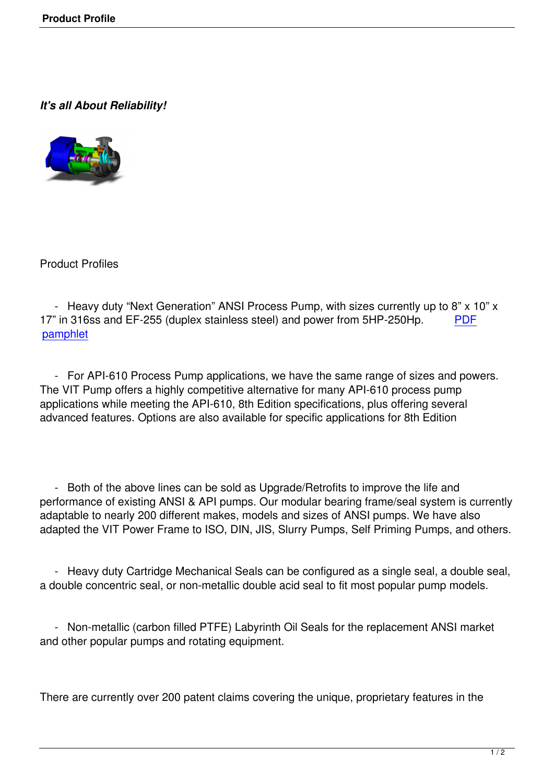## *It's all About Reliability!*



Product Profiles

- Heavy duty "Next Generation" ANSI Process Pump, with sizes currently up to 8" x 10" x 17" in 316ss and EF-255 (duplex stainless steel) and power from 5HP-250Hp. PDF pamphlet

 [- For A](index.php?option=com_content&view=article&id=80:enviropumpandseal-pamphlet&catid=47:pumps&Itemid=55)PI-610 Process Pump applications, we have the same range of sizes an[d pow](index.php?option=com_content&view=article&id=80:enviropumpandseal-pamphlet&catid=47:pumps&Itemid=55)ers. The VIT Pump offers a highly competitive alternative for many API-610 process pump applications while meeting the API-610, 8th Edition specifications, plus offering several advanced features. Options are also available for specific applications for 8th Edition

 - Both of the above lines can be sold as Upgrade/Retrofits to improve the life and performance of existing ANSI & API pumps. Our modular bearing frame/seal system is currently adaptable to nearly 200 different makes, models and sizes of ANSI pumps. We have also adapted the VIT Power Frame to ISO, DIN, JIS, Slurry Pumps, Self Priming Pumps, and others.

 - Heavy duty Cartridge Mechanical Seals can be configured as a single seal, a double seal, a double concentric seal, or non-metallic double acid seal to fit most popular pump models.

 - Non-metallic (carbon filled PTFE) Labyrinth Oil Seals for the replacement ANSI market and other popular pumps and rotating equipment.

There are currently over 200 patent claims covering the unique, proprietary features in the